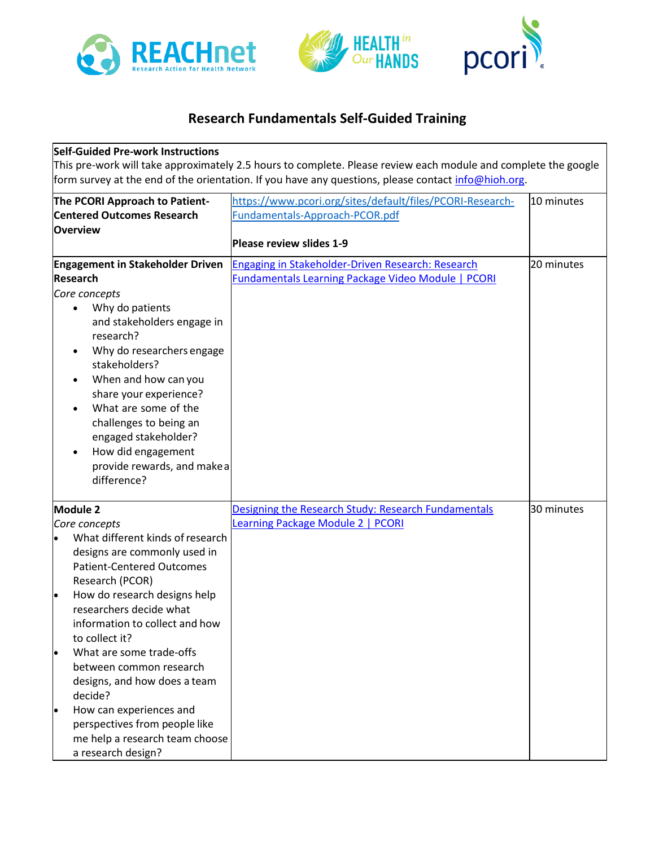





## **Research Fundamentals Self-Guided Training**

## **Self-Guided Pre-work Instructions**

This pre-work will take approximately 2.5 hours to complete. Please review each module and complete the google form survey at the end of the orientation. If you have any questions, please contact [info@hioh.org.](mailto:info@hioh.org)

| The PCORI Approach to Patient-                                                                                                                                                                                                                                                                                                                                                    | https://www.pcori.org/sites/default/files/PCORI-Research- | 10 minutes |
|-----------------------------------------------------------------------------------------------------------------------------------------------------------------------------------------------------------------------------------------------------------------------------------------------------------------------------------------------------------------------------------|-----------------------------------------------------------|------------|
| <b>Centered Outcomes Research</b>                                                                                                                                                                                                                                                                                                                                                 | Fundamentals-Approach-PCOR.pdf                            |            |
| Overview                                                                                                                                                                                                                                                                                                                                                                          |                                                           |            |
|                                                                                                                                                                                                                                                                                                                                                                                   | Please review slides 1-9                                  |            |
| <b>Engagement in Stakeholder Driven</b>                                                                                                                                                                                                                                                                                                                                           | Engaging in Stakeholder-Driven Research: Research         | 20 minutes |
| <b>Research</b>                                                                                                                                                                                                                                                                                                                                                                   | <b>Fundamentals Learning Package Video Module   PCORI</b> |            |
| Core concepts<br>Why do patients<br>$\bullet$<br>and stakeholders engage in<br>research?<br>Why do researchers engage<br>$\bullet$<br>stakeholders?<br>When and how can you<br>٠<br>share your experience?<br>What are some of the<br>$\bullet$<br>challenges to being an<br>engaged stakeholder?<br>How did engagement<br>$\bullet$<br>provide rewards, and makea<br>difference? |                                                           |            |
| Module 2                                                                                                                                                                                                                                                                                                                                                                          | Designing the Research Study: Research Fundamentals       | 30 minutes |
| Core concepts                                                                                                                                                                                                                                                                                                                                                                     | Learning Package Module 2   PCORI                         |            |
| What different kinds of research<br>designs are commonly used in<br><b>Patient-Centered Outcomes</b><br>Research (PCOR)                                                                                                                                                                                                                                                           |                                                           |            |
| How do research designs help<br>I۰<br>researchers decide what<br>information to collect and how<br>to collect it?                                                                                                                                                                                                                                                                 |                                                           |            |
| What are some trade-offs<br>between common research<br>designs, and how does a team<br>decide?                                                                                                                                                                                                                                                                                    |                                                           |            |
| How can experiences and<br>perspectives from people like<br>me help a research team choose<br>a research design?                                                                                                                                                                                                                                                                  |                                                           |            |